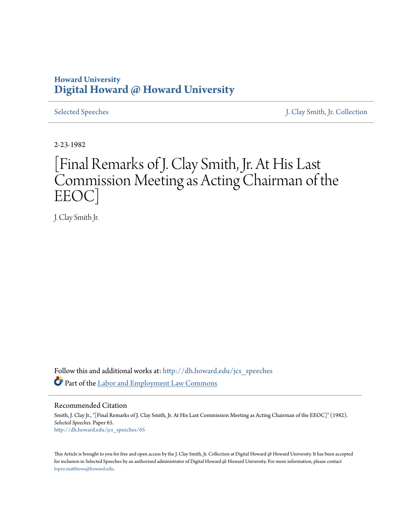## **Howard University [Digital Howard @ Howard University](http://dh.howard.edu?utm_source=dh.howard.edu%2Fjcs_speeches%2F65&utm_medium=PDF&utm_campaign=PDFCoverPages)**

[Selected Speeches](http://dh.howard.edu/jcs_speeches?utm_source=dh.howard.edu%2Fjcs_speeches%2F65&utm_medium=PDF&utm_campaign=PDFCoverPages) [J. Clay Smith, Jr. Collection](http://dh.howard.edu/jcsmith?utm_source=dh.howard.edu%2Fjcs_speeches%2F65&utm_medium=PDF&utm_campaign=PDFCoverPages)

2-23-1982

## [Final Remarks of J. Clay Smith, Jr. At His Last Commission Meeting as Acting Chairman of the EEOC]

J. Clay Smith Jr.

Follow this and additional works at: [http://dh.howard.edu/jcs\\_speeches](http://dh.howard.edu/jcs_speeches?utm_source=dh.howard.edu%2Fjcs_speeches%2F65&utm_medium=PDF&utm_campaign=PDFCoverPages) Part of the [Labor and Employment Law Commons](http://network.bepress.com/hgg/discipline/909?utm_source=dh.howard.edu%2Fjcs_speeches%2F65&utm_medium=PDF&utm_campaign=PDFCoverPages)

Recommended Citation

Smith, J. Clay Jr., "[Final Remarks of J. Clay Smith, Jr. At His Last Commission Meeting as Acting Chairman of the EEOC]" (1982). *Selected Speeches.* Paper 65. [http://dh.howard.edu/jcs\\_speeches/65](http://dh.howard.edu/jcs_speeches/65?utm_source=dh.howard.edu%2Fjcs_speeches%2F65&utm_medium=PDF&utm_campaign=PDFCoverPages)

This Article is brought to you for free and open access by the J. Clay Smith, Jr. Collection at Digital Howard @ Howard University. It has been accepted for inclusion in Selected Speeches by an authorized administrator of Digital Howard @ Howard University. For more information, please contact [lopez.matthews@howard.edu.](mailto:lopez.matthews@howard.edu)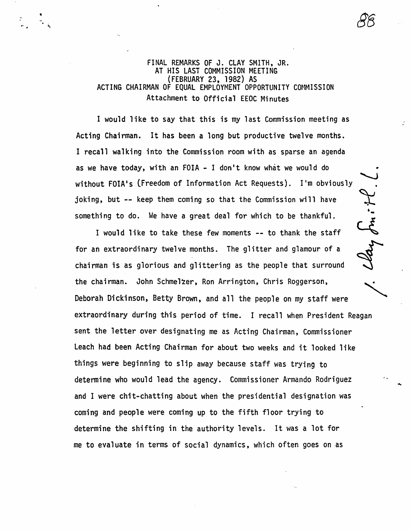FINAL REMARKS OF J. CLAY SMITH, JR. AT HIS LAST COMMISSION MEETING (FEBRUARY 23, 1982) AS ACTING CHAIRMAN OF EQUAL EMPLOYMENT OPPORTUNITY COMMISSION Attachment to Official EEOC Minutes

..

I would like to say that this is my last Commission meeting as Acting Chairman. It has been a long but productive twelve months. I recall walking into the Commission room with as sparse an agenda as we have today, with an FOIA - I don't know what we would do without FOIA's (Freedom of Information Act Requests). I'm obviously joking, but -- keep them coming so that the Commission will have something to do. We have a great deal for which to be thankful.

I would like to take these few moments -- to thank the staff for an extraordinary twelve months. The glitter and glamour of a<br>chairman is as glorious and glittering as the people that surround the chairman. John Schmelzer, Ron Arrington, Chris Roggerson, Deborah Dickinson, Betty Brown, and all the people on my staff were extraordinary during this period of time. I recall when President Reagan sent the letter over designating me as Acting Chairman, Commissioner Leach had been Acting Chairman for about two weeks and it looked like things were beginning to slip away because staff was trying to determine who would lead the agency. Commissioner Armando Rodriguez and I were chit-chatting about when the presidential designation was coming and people were coming up to the fifth floor trying to determine the shifting in the authority levels. It was a lot for me to evaluate in terms of social dynamics, which often goes on as

omitt.

..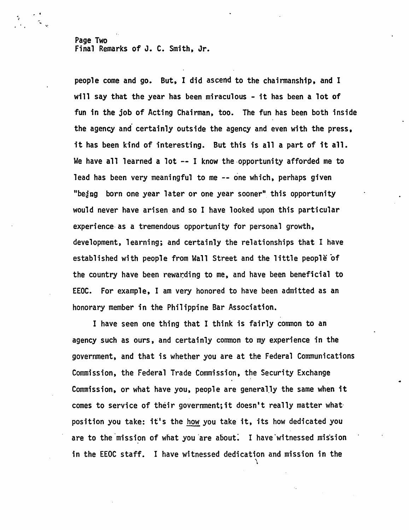Page Two Final Remarks of J. C. Smith, Jr.

 $\ddot{\phantom{a}}$ 

people come and go. But, I did ascend to the chairmanship, and I will say that the year has been miraculous - it has been a lot of fun in the job of Acting Chairman, too. The fun has been both inside the agency and certainly outside the agency and even with the press. it has been kind of interesting. But this is all a part of it all. We have all learned a lot  $-$ - I know the opportunity afforded me to lead has been very meaningful to me -- one which, perhaps given "being born one year later or one year sooner" this opportunity would never have arisen and so I have looked upon this particular experience· as a tremendous opportunity for personal growth, development, learning; and certainly the relationships that I have established with people from Wall Street and the little people of the country have been rewarding to me, and have been beneficial to EEOC. For example, I am very honored to have been admitted as an honorary member in the Philippine Bar Association.

I have seen one thing that I think is fairly common to an agency such as ours, and certainly common to my experience in the government, and that is whether you are at the Federal Communications Commission, the Federal Trade Commission, the Security Exchange Commission, or what have you, people are generally the same when it comes to service of their government; it doesn't really matter what position you take: it's the how you take it, its how dedicated you are to the mission of what you are about. I have witnessed mission in the EEOC staff. I have witnessed dedication and mission in the  $\setminus$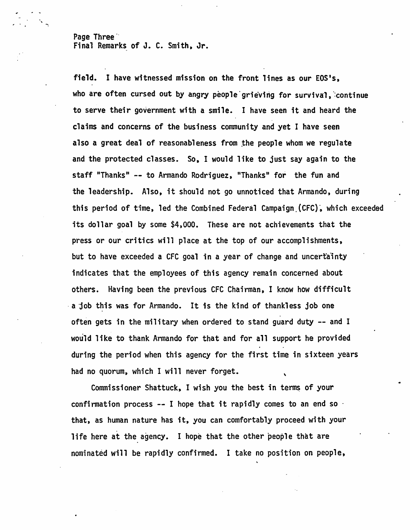Page Three Final Remarks of J. C. Smith, Jr.

-..

field. I have witnessed mission on the front lines as our EOS's, who are often cursed out by angry people grieving for survival, continue to serve their government with a smile. I have seen it and heard the claims and concerns of the business community and yet I have seen also a great deal of reasonableness from the people whom we regulate and the protected classes. So, I would like to just say again to the staff "Thanks" -- to Armando Rodriguez, "Thanks" for the fun and the leadership. Also, it should not go unnoticed that Armando, during this period of time, led the Combined Federal Campaign (CFC), which exceeded its dollar goal by some \$4,000. These are not achievements that the press or our critics will place at the top of our accomplishments, but to have exceeded a CFC goal in a year of change and uncertainty indicates that the employees of this agency remain concerned about others. Having been the previous CFC Chairman, I know how difficult . a job this was for Armando. It is the kind of thankless job one often gets in the military when ordered to stand guard duty -- and I would like to thank Armando for that and for all support he provided during the period when this agency for the first time in sixteen years had no quorum, which I will never forget. \

Commissioner Shattuck, I wish you the best in terms of your confirmation process  $-$ - I hope that it rapidly comes to an end so  $\cdot$ that, as human nature has it, you can comfortably proceed with your life here at the agency. I hope that the other people that are nominated will be rapidly confirmed. I take no position on people,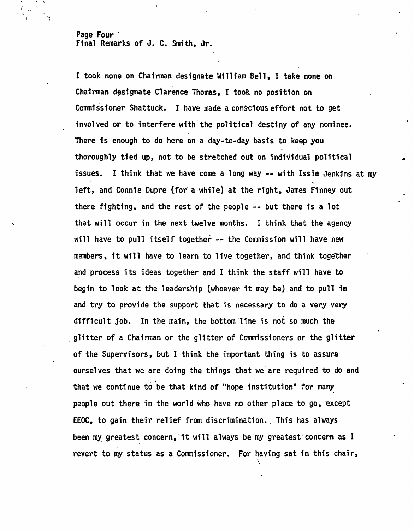Page Four " Final Remarks of J. C. Smith, Jr.

 $\ddot{\,}$ 'I

> I took none on Chairman designate William Bell, I take none on Chairman designate Clarence Thomas, I took no position on  $\pm$ Commissioner Shattuck. I have made a conscious effort not to get involved or to interfere with'the political destiny of any nominee. There is enough to do here on a day-to-day basis to keep you thoroughly tied up, not to be stretched out on individual political issues. I think that we have come a long way -- with Issie Jenkjns at my .. left, and Connie Dupre (for a while) at the right, James Finney out there fighting, and the rest of the people  $\div$  but there is a lot that will occur in the next twelve months. I think that the agency will have to pull itself together -- the Commission will have new members, it will have to learn to live together, and think together and process its ideas together and I think the staff will have to begin to look at the leadership (whoever it may be) and to pull in and try to provide the support that is necessary to do a very very difficult job. In the main, the bottom'line is not so much the glitter of a Chairman or the glitter of Commissioners or the glitter of the Supervisors, but I think the important thing is to assure ourselves that we are doing the things that we'are required to do and that we continue to be that kind of "hope institution" for many people out there in the world who have no other place to go, except EEOC, to gain their relief from discrimination. This has always been my greatest concern, it will always be my greatest concern as I revert to my status as a Commissioner. For having sat in this chair,

•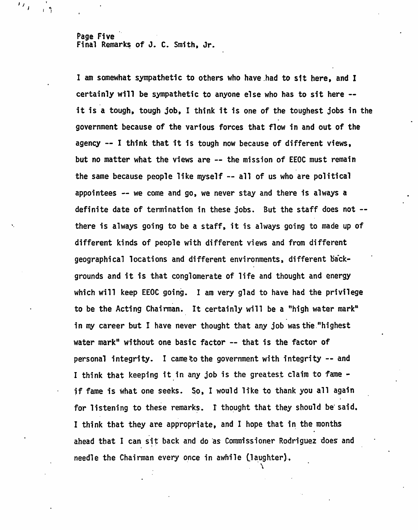Page Five Final Remarks of J. C. Smith, Jr.

I am somewhat sympathetic to others who have.had to sit here, and I certainly will be sympathetic to anyone else who has to sit here - it is a tough. tough job, I think it is one of the toughest jobs in the government because of the various forces that flow in and out of the agency  $--$  I think that it is tough now because of different views, but no matter what the views are -- the mission of EEOC must remain the same because people like myself -- all of us who are political appointees -- we come and go, we never stay and there is always a definite date of termination in these jobs. But the staff does not - there is always going to be a staff, it is always going to made up of different kinds of people with different views and from different geographical locations and different environments, different backgrounds and it is that conglomerate of life and thought and energy which will keep EEOC going. I am very glad to have had the privilege to be the Acting Chairman. It certainly will be a "high water mark" in my career but I have never thought that any job was the "highest" water mark" without one basic factor -- that is the factor of personal integrity. I came to the government with integrity -- and I think that keeping it in any job is the greatest claim to fame if fame is what one seeks. So. I would like to thank you all again for listening to these remarks. I thought that they should be said. I think that they are appropriate, and I hope that in the months ahead that I can sit back and do as Commissioner Rodriguez does and needle the Chairman every once in awhile (laughter).

 $\lambda$ 

I I

'.

 $\mathbf{I}$ ;  $\mathbf{I}$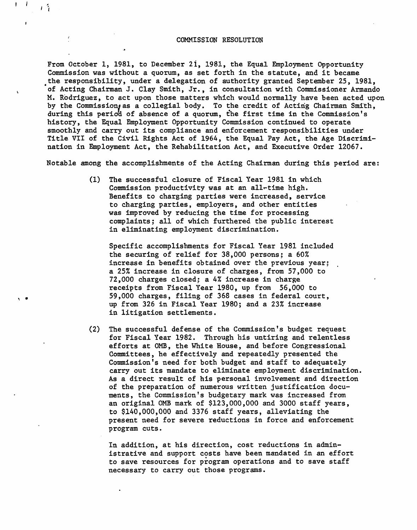## COMMISSION RESOLUTION

From October 1, 1981, to December 2i, 1981, the Equal Employment Opportunity Commission was without a quorum, as set forth in the statute, and it became the responsibility, under a delegation of authority granted September 25, 1981, ·of Acting Chairman J. Clay Smith, Jr., in consultation with Commissioner Armando M. Rodriguez, to act upon those matters which would normally have been acted upon by the Commission, as a collegial body. To the credit of Acting Chairman Smith, during this period of absence of a quorum, the first time in the Commission's history, the Equal Employment Opportunity Commission continued to operate smoothly and carry out its compliance and enforcement responsibilities under Title VII of the Civil Rights Act of 1964, the Equal Pay Act, the Age Discrimination in Employment Act, the Rehabilitation Act, and Executive Order 12067.

Notable among the accomplishments of the Acting Chairman during this period are:

(1) The successful closure of Fiscal Year 1981 in which. Commission productivity was at an a11~time high. Benefits to charging parties were increased, service to charging parties, employers, and other entities was improved by reducing the time for processing complaints; all of which furthered the public interest in eliminating employment discrimination.

Specific accomplishments for Fiscal Year 1981 included the securing of relief for 38,000 persons; a 60% increase in benefits obtained over the previous year; a 25% increase in closure of charges, from 57,000 to 72,000 charges closed; a 4% increase in charge receipts from Fiscal Year 1980, up from 56,000 to 59,000 charges, filing of 368 cases in federal court, up from 326 in Fiscal Year 1980; and a 23% increase in litigation settlements.

' ..

一个

(2) The successful defense of the Commission's budget request for Fiscal Year 1982. Through his untiring and relentless efforts at OMB, the White House, and before Congressional Committees, he effectively and repeatedly presented the Commission's need for both budget and staff to adequately carry out its mandate to eliminate employment discrimination. As a direct result of his personal involvement and direction of the preparation of numerous written justification documents, the Commission's budgetary mark was increased from an original OMB mark of \$123,000,000 and 3000 staff years, to \$140,000,000 and 3376 staff years, alleviating the present need for severe reductions in force and enforcement program cuts.

In addition, at his direction, cost reductions in administrative and support costs have been mandated in an effort to save resources for program operations and to save staff necessary to carry out those programs.